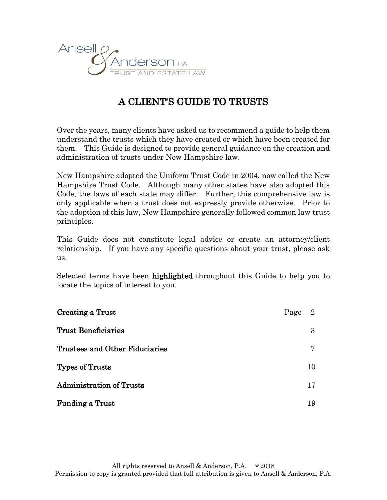

# A CLIENT'S GUIDE TO TRUSTS

Over the years, many clients have asked us to recommend a guide to help them understand the trusts which they have created or which have been created for them. This Guide is designed to provide general guidance on the creation and administration of trusts under New Hampshire law.

New Hampshire adopted the Uniform Trust Code in 2004, now called the New Hampshire Trust Code. Although many other states have also adopted this Code, the laws of each state may differ. Further, this comprehensive law is only applicable when a trust does not expressly provide otherwise. Prior to the adoption of this law, New Hampshire generally followed common law trust principles.

This Guide does not constitute legal advice or create an attorney/client relationship. If you have any specific questions about your trust, please ask us.

Selected terms have been **highlighted** throughout this Guide to help you to locate the topics of interest to you.

| Creating a Trust                      | Page | 2  |
|---------------------------------------|------|----|
| <b>Trust Beneficiaries</b>            |      | 3  |
| <b>Trustees and Other Fiduciaries</b> |      | 7  |
| Types of Trusts                       |      | 10 |
| <b>Administration of Trusts</b>       |      | 17 |
| <b>Funding a Trust</b>                |      | 19 |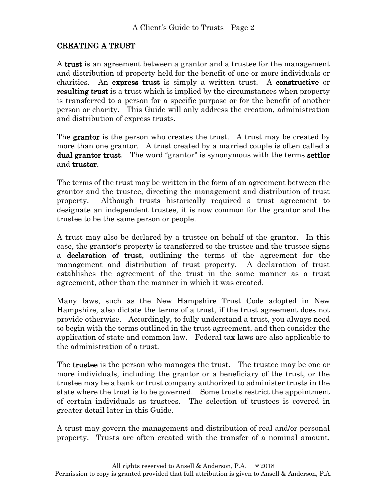# CREATING A TRUST

A trust is an agreement between a grantor and a trustee for the management and distribution of property held for the benefit of one or more individuals or charities. An express trust is simply a written trust. A constructive or resulting trust is a trust which is implied by the circumstances when property is transferred to a person for a specific purpose or for the benefit of another person or charity. This Guide will only address the creation, administration and distribution of express trusts.

The **grantor** is the person who creates the trust. A trust may be created by more than one grantor. A trust created by a married couple is often called a dual grantor trust. The word "grantor" is synonymous with the terms settlor and trustor.

The terms of the trust may be written in the form of an agreement between the grantor and the trustee, directing the management and distribution of trust property. Although trusts historically required a trust agreement to designate an independent trustee, it is now common for the grantor and the trustee to be the same person or people.

A trust may also be declared by a trustee on behalf of the grantor. In this case, the grantor's property is transferred to the trustee and the trustee signs a declaration of trust, outlining the terms of the agreement for the management and distribution of trust property. A declaration of trust establishes the agreement of the trust in the same manner as a trust agreement, other than the manner in which it was created.

Many laws, such as the New Hampshire Trust Code adopted in New Hampshire, also dictate the terms of a trust, if the trust agreement does not provide otherwise. Accordingly, to fully understand a trust, you always need to begin with the terms outlined in the trust agreement, and then consider the application of state and common law. Federal tax laws are also applicable to the administration of a trust.

The **trustee** is the person who manages the trust. The trustee may be one or more individuals, including the grantor or a beneficiary of the trust, or the trustee may be a bank or trust company authorized to administer trusts in the state where the trust is to be governed. Some trusts restrict the appointment of certain individuals as trustees. The selection of trustees is covered in greater detail later in this Guide.

A trust may govern the management and distribution of real and/or personal property. Trusts are often created with the transfer of a nominal amount,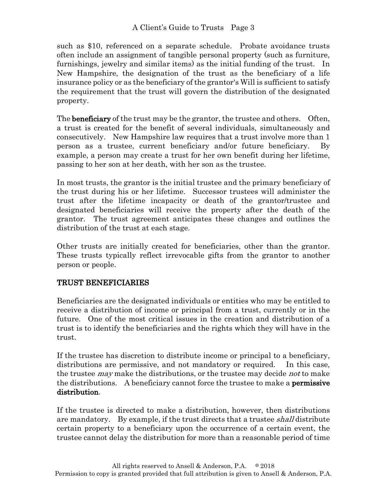such as \$10, referenced on a separate schedule. Probate avoidance trusts often include an assignment of tangible personal property (such as furniture, furnishings, jewelry and similar items) as the initial funding of the trust. In New Hampshire, the designation of the trust as the beneficiary of a life insurance policy or as the beneficiary of the grantor's Will is sufficient to satisfy the requirement that the trust will govern the distribution of the designated property.

The **beneficiary** of the trust may be the grantor, the trustee and others. Often, a trust is created for the benefit of several individuals, simultaneously and consecutively. New Hampshire law requires that a trust involve more than 1 person as a trustee, current beneficiary and/or future beneficiary. By example, a person may create a trust for her own benefit during her lifetime, passing to her son at her death, with her son as the trustee.

In most trusts, the grantor is the initial trustee and the primary beneficiary of the trust during his or her lifetime. Successor trustees will administer the trust after the lifetime incapacity or death of the grantor/trustee and designated beneficiaries will receive the property after the death of the grantor. The trust agreement anticipates these changes and outlines the distribution of the trust at each stage.

Other trusts are initially created for beneficiaries, other than the grantor. These trusts typically reflect irrevocable gifts from the grantor to another person or people.

# TRUST BENEFICIARIES

Beneficiaries are the designated individuals or entities who may be entitled to receive a distribution of income or principal from a trust, currently or in the future. One of the most critical issues in the creation and distribution of a trust is to identify the beneficiaries and the rights which they will have in the trust.

If the trustee has discretion to distribute income or principal to a beneficiary, distributions are permissive, and not mandatory or required. In this case, the trustee *may* make the distributions, or the trustee may decide *not* to make the distributions. A beneficiary cannot force the trustee to make a **permissive** distribution.

If the trustee is directed to make a distribution, however, then distributions are mandatory. By example, if the trust directs that a trustee *shall* distribute certain property to a beneficiary upon the occurrence of a certain event, the trustee cannot delay the distribution for more than a reasonable period of time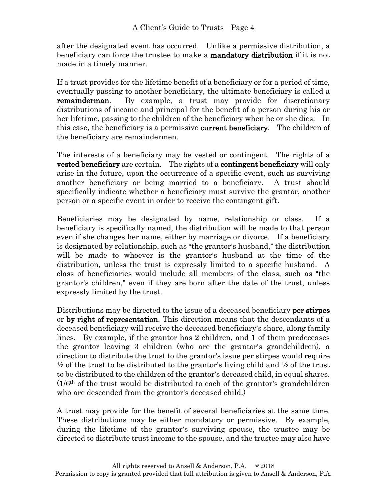after the designated event has occurred. Unlike a permissive distribution, a beneficiary can force the trustee to make a **mandatory distribution** if it is not made in a timely manner.

If a trust provides for the lifetime benefit of a beneficiary or for a period of time, eventually passing to another beneficiary, the ultimate beneficiary is called a **remainderman.** By example, a trust may provide for discretionary distributions of income and principal for the benefit of a person during his or her lifetime, passing to the children of the beneficiary when he or she dies. In this case, the beneficiary is a permissive **current beneficiary**. The children of the beneficiary are remaindermen.

The interests of a beneficiary may be vested or contingent. The rights of a **vested beneficiary** are certain. The rights of a **contingent beneficiary** will only arise in the future, upon the occurrence of a specific event, such as surviving another beneficiary or being married to a beneficiary. A trust should specifically indicate whether a beneficiary must survive the grantor, another person or a specific event in order to receive the contingent gift.

Beneficiaries may be designated by name, relationship or class. If a beneficiary is specifically named, the distribution will be made to that person even if she changes her name, either by marriage or divorce. If a beneficiary is designated by relationship, such as "the grantor's husband," the distribution will be made to whoever is the grantor's husband at the time of the distribution, unless the trust is expressly limited to a specific husband. A class of beneficiaries would include all members of the class, such as "the grantor's children," even if they are born after the date of the trust, unless expressly limited by the trust.

Distributions may be directed to the issue of a deceased beneficiary **per stirpes** or by right of representation. This direction means that the descendants of a deceased beneficiary will receive the deceased beneficiary's share, along family lines. By example, if the grantor has 2 children, and 1 of them predeceases the grantor leaving 3 children (who are the grantor's grandchildren), a direction to distribute the trust to the grantor's issue per stirpes would require  $\frac{1}{2}$  of the trust to be distributed to the grantor's living child and  $\frac{1}{2}$  of the trust to be distributed to the children of the grantor's deceased child, in equal shares.  $(1/6<sup>th</sup>$  of the trust would be distributed to each of the grantor's grandchildren who are descended from the grantor's deceased child.)

A trust may provide for the benefit of several beneficiaries at the same time. These distributions may be either mandatory or permissive. By example, during the lifetime of the grantor's surviving spouse, the trustee may be directed to distribute trust income to the spouse, and the trustee may also have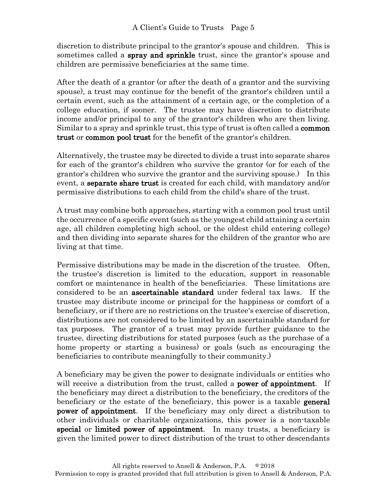discretion to distribute principal to the grantor's spouse and children. This is sometimes called a **spray and sprinkle** trust, since the grantor's spouse and children are permissive beneficiaries at the same time.

After the death of a grantor (or after the death of a grantor and the surviving spouse), a trust may continue for the benefit of the grantor's children until a certain event, such as the attainment of a certain age, or the completion of a college education, if sooner. The trustee may have discretion to distribute income and/or principal to any of the grantor's children who are then living. Similar to a spray and sprinkle trust, this type of trust is often called a common trust or common pool trust for the benefit of the grantor's children.

Alternatively, the trustee may be directed to divide a trust into separate shares for each of the grantor's children who survive the grantor (or for each of the grantor's children who survive the grantor and the surviving spouse.) In this event, a separate share trust is created for each child, with mandatory and/or permissive distributions to each child from the child's share of the trust.

A trust may combine both approaches, starting with a common pool trust until the occurrence of a specific event (such as the youngest child attaining a certain age, all children completing high school, or the oldest child entering college) and then dividing into separate shares for the children of the grantor who are living at that time.

Permissive distributions may be made in the discretion of the trustee. Often, the trustee's discretion is limited to the education, support in reasonable comfort or maintenance in health of the beneficiaries. These limitations are considered to be an ascertainable standard under federal tax laws. If the trustee may distribute income or principal for the happiness or comfort of a beneficiary, or if there are no restrictions on the trustee's exercise of discretion, distributions are not considered to be limited by an ascertainable standard for tax purposes. The grantor of a trust may provide further guidance to the trustee, directing distributions for stated purposes (such as the purchase of a home property or starting a business) or goals (such as encouraging the beneficiaries to contribute meaningfully to their community.)

A beneficiary may be given the power to designate individuals or entities who will receive a distribution from the trust, called a **power of appointment**. If the beneficiary may direct a distribution to the beneficiary, the creditors of the beneficiary or the estate of the beneficiary, this power is a taxable **general** power of appointment. If the beneficiary may only direct a distribution to other individuals or charitable organizations, this power is a non-taxable special or limited power of appointment. In many trusts, a beneficiary is given the limited power to direct distribution of the trust to other descendants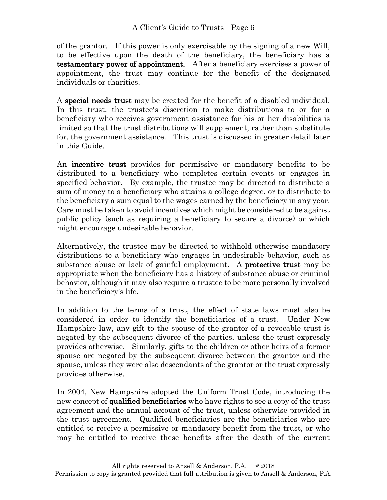### A Client's Guide to Trusts Page 6

of the grantor. If this power is only exercisable by the signing of a new Will, to be effective upon the death of the beneficiary, the beneficiary has a testamentary power of appointment. After a beneficiary exercises a power of appointment, the trust may continue for the benefit of the designated individuals or charities.

A special needs trust may be created for the benefit of a disabled individual. In this trust, the trustee's discretion to make distributions to or for a beneficiary who receives government assistance for his or her disabilities is limited so that the trust distributions will supplement, rather than substitute for, the government assistance. This trust is discussed in greater detail later in this Guide.

An incentive trust provides for permissive or mandatory benefits to be distributed to a beneficiary who completes certain events or engages in specified behavior. By example, the trustee may be directed to distribute a sum of money to a beneficiary who attains a college degree, or to distribute to the beneficiary a sum equal to the wages earned by the beneficiary in any year. Care must be taken to avoid incentives which might be considered to be against public policy (such as requiring a beneficiary to secure a divorce) or which might encourage undesirable behavior.

Alternatively, the trustee may be directed to withhold otherwise mandatory distributions to a beneficiary who engages in undesirable behavior, such as substance abuse or lack of gainful employment. A **protective trust** may be appropriate when the beneficiary has a history of substance abuse or criminal behavior, although it may also require a trustee to be more personally involved in the beneficiary's life.

In addition to the terms of a trust, the effect of state laws must also be considered in order to identify the beneficiaries of a trust. Under New Hampshire law, any gift to the spouse of the grantor of a revocable trust is negated by the subsequent divorce of the parties, unless the trust expressly provides otherwise. Similarly, gifts to the children or other heirs of a former spouse are negated by the subsequent divorce between the grantor and the spouse, unless they were also descendants of the grantor or the trust expressly provides otherwise.

In 2004, New Hampshire adopted the Uniform Trust Code, introducing the new concept of **qualified beneficiaries** who have rights to see a copy of the trust agreement and the annual account of the trust, unless otherwise provided in the trust agreement. Qualified beneficiaries are the beneficiaries who are entitled to receive a permissive or mandatory benefit from the trust, or who may be entitled to receive these benefits after the death of the current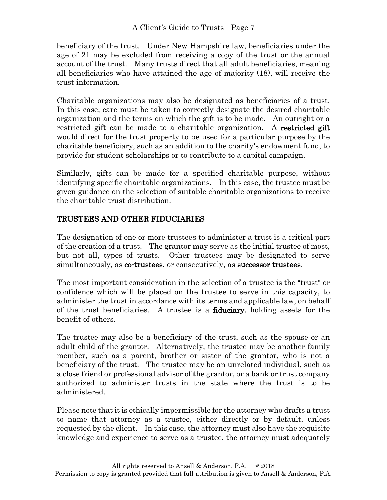beneficiary of the trust. Under New Hampshire law, beneficiaries under the age of 21 may be excluded from receiving a copy of the trust or the annual account of the trust. Many trusts direct that all adult beneficiaries, meaning all beneficiaries who have attained the age of majority (18), will receive the trust information.

Charitable organizations may also be designated as beneficiaries of a trust. In this case, care must be taken to correctly designate the desired charitable organization and the terms on which the gift is to be made. An outright or a restricted gift can be made to a charitable organization. A restricted gift would direct for the trust property to be used for a particular purpose by the charitable beneficiary, such as an addition to the charity's endowment fund, to provide for student scholarships or to contribute to a capital campaign.

Similarly, gifts can be made for a specified charitable purpose, without identifying specific charitable organizations. In this case, the trustee must be given guidance on the selection of suitable charitable organizations to receive the charitable trust distribution.

# TRUSTEES AND OTHER FIDUCIARIES

The designation of one or more trustees to administer a trust is a critical part of the creation of a trust. The grantor may serve as the initial trustee of most, but not all, types of trusts. Other trustees may be designated to serve simultaneously, as co-trustees, or consecutively, as successor trustees.

The most important consideration in the selection of a trustee is the "trust" or confidence which will be placed on the trustee to serve in this capacity, to administer the trust in accordance with its terms and applicable law, on behalf of the trust beneficiaries. A trustee is a fiduciary, holding assets for the benefit of others.

The trustee may also be a beneficiary of the trust, such as the spouse or an adult child of the grantor. Alternatively, the trustee may be another family member, such as a parent, brother or sister of the grantor, who is not a beneficiary of the trust. The trustee may be an unrelated individual, such as a close friend or professional advisor of the grantor, or a bank or trust company authorized to administer trusts in the state where the trust is to be administered.

Please note that it is ethically impermissible for the attorney who drafts a trust to name that attorney as a trustee, either directly or by default, unless requested by the client. In this case, the attorney must also have the requisite knowledge and experience to serve as a trustee, the attorney must adequately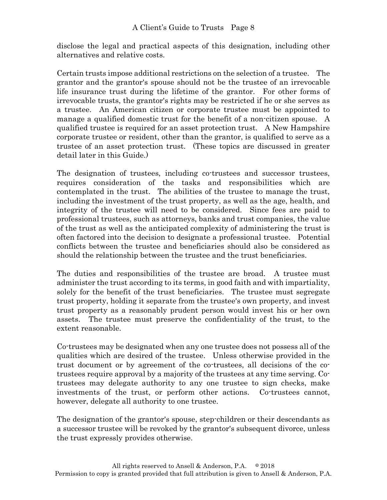disclose the legal and practical aspects of this designation, including other alternatives and relative costs.

Certain trusts impose additional restrictions on the selection of a trustee. The grantor and the grantor's spouse should not be the trustee of an irrevocable life insurance trust during the lifetime of the grantor. For other forms of irrevocable trusts, the grantor's rights may be restricted if he or she serves as a trustee. An American citizen or corporate trustee must be appointed to manage a qualified domestic trust for the benefit of a non-citizen spouse. A qualified trustee is required for an asset protection trust. A New Hampshire corporate trustee or resident, other than the grantor, is qualified to serve as a trustee of an asset protection trust. (These topics are discussed in greater detail later in this Guide.)

The designation of trustees, including co-trustees and successor trustees, requires consideration of the tasks and responsibilities which are contemplated in the trust. The abilities of the trustee to manage the trust, including the investment of the trust property, as well as the age, health, and integrity of the trustee will need to be considered. Since fees are paid to professional trustees, such as attorneys, banks and trust companies, the value of the trust as well as the anticipated complexity of administering the trust is often factored into the decision to designate a professional trustee. Potential conflicts between the trustee and beneficiaries should also be considered as should the relationship between the trustee and the trust beneficiaries.

The duties and responsibilities of the trustee are broad. A trustee must administer the trust according to its terms, in good faith and with impartiality, solely for the benefit of the trust beneficiaries. The trustee must segregate trust property, holding it separate from the trustee's own property, and invest trust property as a reasonably prudent person would invest his or her own assets. The trustee must preserve the confidentiality of the trust, to the extent reasonable.

Co-trustees may be designated when any one trustee does not possess all of the qualities which are desired of the trustee. Unless otherwise provided in the trust document or by agreement of the co-trustees, all decisions of the cotrustees require approval by a majority of the trustees at any time serving. Cotrustees may delegate authority to any one trustee to sign checks, make investments of the trust, or perform other actions. Co-trustees cannot, however, delegate all authority to one trustee.

The designation of the grantor's spouse, step-children or their descendants as a successor trustee will be revoked by the grantor's subsequent divorce, unless the trust expressly provides otherwise.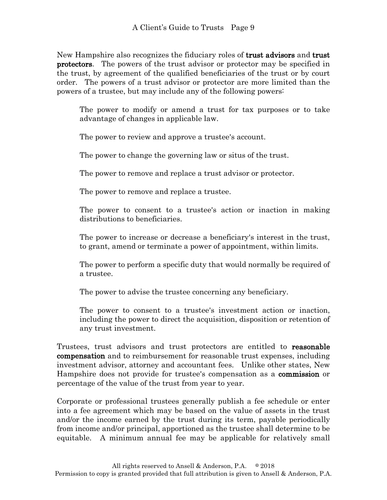New Hampshire also recognizes the fiduciary roles of **trust advisors** and **trust** protectors. The powers of the trust advisor or protector may be specified in the trust, by agreement of the qualified beneficiaries of the trust or by court order. The powers of a trust advisor or protector are more limited than the powers of a trustee, but may include any of the following powers:

The power to modify or amend a trust for tax purposes or to take advantage of changes in applicable law.

The power to review and approve a trustee's account.

The power to change the governing law or situs of the trust.

The power to remove and replace a trust advisor or protector.

The power to remove and replace a trustee.

The power to consent to a trustee's action or inaction in making distributions to beneficiaries.

The power to increase or decrease a beneficiary's interest in the trust, to grant, amend or terminate a power of appointment, within limits.

The power to perform a specific duty that would normally be required of a trustee.

The power to advise the trustee concerning any beneficiary.

The power to consent to a trustee's investment action or inaction, including the power to direct the acquisition, disposition or retention of any trust investment.

Trustees, trust advisors and trust protectors are entitled to reasonable compensation and to reimbursement for reasonable trust expenses, including investment advisor, attorney and accountant fees. Unlike other states, New Hampshire does not provide for trustee's compensation as a commission or percentage of the value of the trust from year to year.

Corporate or professional trustees generally publish a fee schedule or enter into a fee agreement which may be based on the value of assets in the trust and/or the income earned by the trust during its term, payable periodically from income and/or principal, apportioned as the trustee shall determine to be equitable. A minimum annual fee may be applicable for relatively small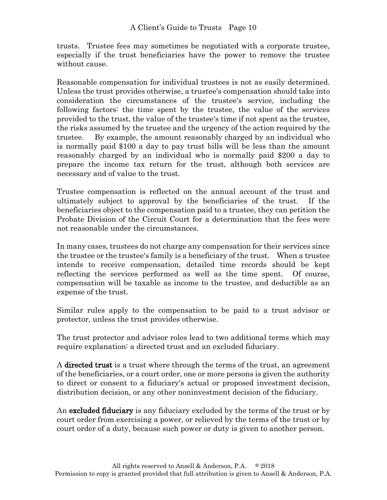trusts. Trustee fees may sometimes be negotiated with a corporate trustee, especially if the trust beneficiaries have the power to remove the trustee without cause.

Reasonable compensation for individual trustees is not as easily determined. Unless the trust provides otherwise, a trustee's compensation should take into consideration the circumstances of the trustee's service, including the following factors: the time spent by the trustee, the value of the services provided to the trust, the value of the trustee's time if not spent as the trustee, the risks assumed by the trustee and the urgency of the action required by the trustee. By example, the amount reasonably charged by an individual who is normally paid \$100 a day to pay trust bills will be less than the amount reasonably charged by an individual who is normally paid \$200 a day to prepare the income tax return for the trust, although both services are necessary and of value to the trust.

Trustee compensation is reflected on the annual account of the trust and ultimately subject to approval by the beneficiaries of the trust. If the beneficiaries object to the compensation paid to a trustee, they can petition the Probate Division of the Circuit Court for a determination that the fees were not reasonable under the circumstances.

In many cases, trustees do not charge any compensation for their services since the trustee or the trustee's family is a beneficiary of the trust. When a trustee intends to receive compensation, detailed time records should be kept reflecting the services performed as well as the time spent. Of course, compensation will be taxable as income to the trustee, and deductible as an expense of the trust.

Similar rules apply to the compensation to be paid to a trust advisor or protector, unless the trust provides otherwise.

The trust protector and advisor roles lead to two additional terms which may require explanation: a directed trust and an excluded fiduciary.

A directed trust is a trust where through the terms of the trust, an agreement of the beneficiaries, or a court order, one or more persons is given the authority to direct or consent to a fiduciary's actual or proposed investment decision, distribution decision, or any other noninvestment decision of the fiduciary.

An **excluded fiduciary** is any fiduciary excluded by the terms of the trust or by court order from exercising a power, or relieved by the terms of the trust or by court order of a duty, because such power or duty is given to another person.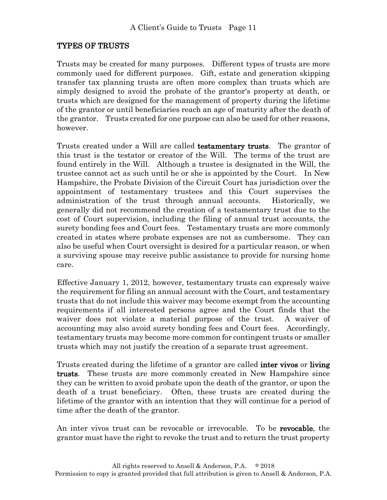## TYPES OF TRUSTS

Trusts may be created for many purposes. Different types of trusts are more commonly used for different purposes. Gift, estate and generation skipping transfer tax planning trusts are often more complex than trusts which are simply designed to avoid the probate of the grantor's property at death, or trusts which are designed for the management of property during the lifetime of the grantor or until beneficiaries reach an age of maturity after the death of the grantor. Trusts created for one purpose can also be used for other reasons, however.

Trusts created under a Will are called testamentary trusts. The grantor of this trust is the testator or creator of the Will. The terms of the trust are found entirely in the Will. Although a trustee is designated in the Will, the trustee cannot act as such until he or she is appointed by the Court. In New Hampshire, the Probate Division of the Circuit Court has jurisdiction over the appointment of testamentary trustees and this Court supervises the administration of the trust through annual accounts. Historically, we generally did not recommend the creation of a testamentary trust due to the cost of Court supervision, including the filing of annual trust accounts, the surety bonding fees and Court fees. Testamentary trusts are more commonly created in states where probate expenses are not as cumbersome. They can also be useful when Court oversight is desired for a particular reason, or when a surviving spouse may receive public assistance to provide for nursing home care.

Effective January 1, 2012, however, testamentary trusts can expressly waive the requirement for filing an annual account with the Court, and testamentary trusts that do not include this waiver may become exempt from the accounting requirements if all interested persons agree and the Court finds that the waiver does not violate a material purpose of the trust. A waiver of accounting may also avoid surety bonding fees and Court fees. Accordingly, testamentary trusts may become more common for contingent trusts or smaller trusts which may not justify the creation of a separate trust agreement.

Trusts created during the lifetime of a grantor are called **inter vivos** or **living** trusts. These trusts are more commonly created in New Hampshire since they can be written to avoid probate upon the death of the grantor, or upon the death of a trust beneficiary. Often, these trusts are created during the lifetime of the grantor with an intention that they will continue for a period of time after the death of the grantor.

An inter vivos trust can be revocable or irrevocable. To be revocable, the grantor must have the right to revoke the trust and to return the trust property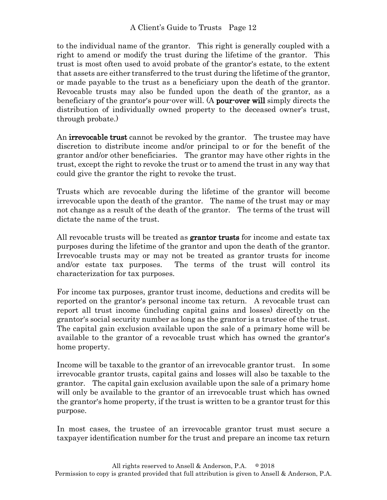to the individual name of the grantor. This right is generally coupled with a right to amend or modify the trust during the lifetime of the grantor. This trust is most often used to avoid probate of the grantor's estate, to the extent that assets are either transferred to the trust during the lifetime of the grantor, or made payable to the trust as a beneficiary upon the death of the grantor. Revocable trusts may also be funded upon the death of the grantor, as a beneficiary of the grantor's pour-over will. (A **pour-over will** simply directs the distribution of individually owned property to the deceased owner's trust, through probate.)

An **irrevocable trust** cannot be revoked by the grantor. The trustee may have discretion to distribute income and/or principal to or for the benefit of the grantor and/or other beneficiaries. The grantor may have other rights in the trust, except the right to revoke the trust or to amend the trust in any way that could give the grantor the right to revoke the trust.

Trusts which are revocable during the lifetime of the grantor will become irrevocable upon the death of the grantor. The name of the trust may or may not change as a result of the death of the grantor. The terms of the trust will dictate the name of the trust.

All revocable trusts will be treated as **grantor trusts** for income and estate tax purposes during the lifetime of the grantor and upon the death of the grantor. Irrevocable trusts may or may not be treated as grantor trusts for income and/or estate tax purposes. The terms of the trust will control its characterization for tax purposes.

For income tax purposes, grantor trust income, deductions and credits will be reported on the grantor's personal income tax return. A revocable trust can report all trust income (including capital gains and losses) directly on the grantor's social security number as long as the grantor is a trustee of the trust. The capital gain exclusion available upon the sale of a primary home will be available to the grantor of a revocable trust which has owned the grantor's home property.

Income will be taxable to the grantor of an irrevocable grantor trust. In some irrevocable grantor trusts, capital gains and losses will also be taxable to the grantor. The capital gain exclusion available upon the sale of a primary home will only be available to the grantor of an irrevocable trust which has owned the grantor's home property, if the trust is written to be a grantor trust for this purpose.

In most cases, the trustee of an irrevocable grantor trust must secure a taxpayer identification number for the trust and prepare an income tax return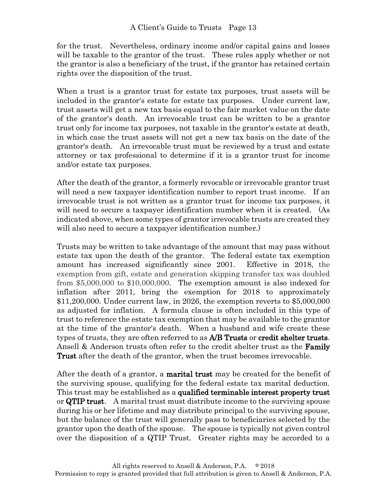for the trust. Nevertheless, ordinary income and/or capital gains and losses will be taxable to the grantor of the trust. These rules apply whether or not the grantor is also a beneficiary of the trust, if the grantor has retained certain rights over the disposition of the trust.

When a trust is a grantor trust for estate tax purposes, trust assets will be included in the grantor's estate for estate tax purposes. Under current law, trust assets will get a new tax basis equal to the fair market value on the date of the grantor's death. An irrevocable trust can be written to be a grantor trust only for income tax purposes, not taxable in the grantor's estate at death, in which case the trust assets will not get a new tax basis on the date of the grantor's death. An irrevocable trust must be reviewed by a trust and estate attorney or tax professional to determine if it is a grantor trust for income and/or estate tax purposes.

After the death of the grantor, a formerly revocable or irrevocable grantor trust will need a new taxpayer identification number to report trust income. If an irrevocable trust is not written as a grantor trust for income tax purposes, it will need to secure a taxpayer identification number when it is created. (As indicated above, when some types of grantor irrevocable trusts are created they will also need to secure a taxpayer identification number.)

Trusts may be written to take advantage of the amount that may pass without estate tax upon the death of the grantor. The federal estate tax exemption amount has increased significantly since 2001. Effective in 2018, the exemption from gift, estate and generation skipping transfer tax was doubled from \$5,000,000 to \$10,000,000. The exemption amount is also indexed for inflation after 2011, bring the exemption for 2018 to approximately \$11,200,000. Under current law, in 2026, the exemption reverts to \$5,000,000 as adjusted for inflation. A formula clause is often included in this type of trust to reference the estate tax exemption that may be available to the grantor at the time of the grantor's death. When a husband and wife create these types of trusts, they are often referred to as A/B Trusts or credit shelter trusts. Ansell & Anderson trusts often refer to the credit shelter trust as the **Family** Trust after the death of the grantor, when the trust becomes irrevocable.

After the death of a grantor, a **marital trust** may be created for the benefit of the surviving spouse, qualifying for the federal estate tax marital deduction. This trust may be established as a qualified terminable interest property trust or  $QTIP$  trust. A marital trust must distribute income to the surviving spouse during his or her lifetime and may distribute principal to the surviving spouse, but the balance of the trust will generally pass to beneficiaries selected by the grantor upon the death of the spouse. The spouse is typically not given control over the disposition of a QTIP Trust. Greater rights may be accorded to a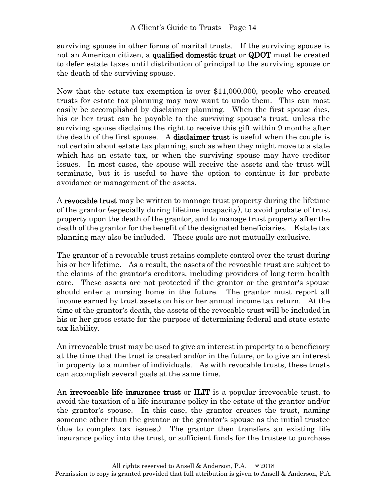surviving spouse in other forms of marital trusts. If the surviving spouse is not an American citizen, a **qualified domestic trust** or **QDOT** must be created to defer estate taxes until distribution of principal to the surviving spouse or the death of the surviving spouse.

Now that the estate tax exemption is over \$11,000,000, people who created trusts for estate tax planning may now want to undo them. This can most easily be accomplished by disclaimer planning. When the first spouse dies, his or her trust can be payable to the surviving spouse's trust, unless the surviving spouse disclaims the right to receive this gift within 9 months after the death of the first spouse. A **disclaimer trust** is useful when the couple is not certain about estate tax planning, such as when they might move to a state which has an estate tax, or when the surviving spouse may have creditor issues. In most cases, the spouse will receive the assets and the trust will terminate, but it is useful to have the option to continue it for probate avoidance or management of the assets.

A revocable trust may be written to manage trust property during the lifetime of the grantor (especially during lifetime incapacity), to avoid probate of trust property upon the death of the grantor, and to manage trust property after the death of the grantor for the benefit of the designated beneficiaries. Estate tax planning may also be included. These goals are not mutually exclusive.

The grantor of a revocable trust retains complete control over the trust during his or her lifetime. As a result, the assets of the revocable trust are subject to the claims of the grantor's creditors, including providers of long-term health care. These assets are not protected if the grantor or the grantor's spouse should enter a nursing home in the future. The grantor must report all income earned by trust assets on his or her annual income tax return. At the time of the grantor's death, the assets of the revocable trust will be included in his or her gross estate for the purpose of determining federal and state estate tax liability.

An irrevocable trust may be used to give an interest in property to a beneficiary at the time that the trust is created and/or in the future, or to give an interest in property to a number of individuals. As with revocable trusts, these trusts can accomplish several goals at the same time.

An **irrevocable life insurance trust** or **ILIT** is a popular irrevocable trust, to avoid the taxation of a life insurance policy in the estate of the grantor and/or the grantor's spouse. In this case, the grantor creates the trust, naming someone other than the grantor or the grantor's spouse as the initial trustee (due to complex tax issues.) The grantor then transfers an existing life insurance policy into the trust, or sufficient funds for the trustee to purchase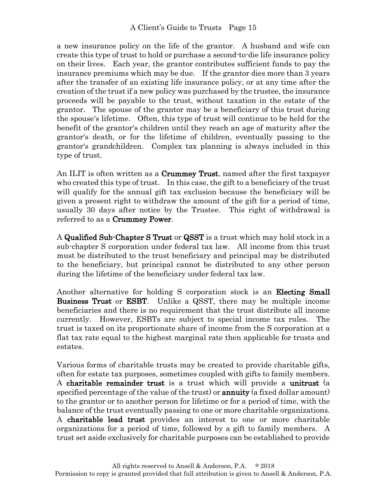a new insurance policy on the life of the grantor. A husband and wife can create this type of trust to hold or purchase a second-to-die life insurance policy on their lives. Each year, the grantor contributes sufficient funds to pay the insurance premiums which may be due. If the grantor dies more than 3 years after the transfer of an existing life insurance policy, or at any time after the creation of the trust if a new policy was purchased by the trustee, the insurance proceeds will be payable to the trust, without taxation in the estate of the grantor. The spouse of the grantor may be a beneficiary of this trust during the spouse's lifetime. Often, this type of trust will continue to be held for the benefit of the grantor's children until they reach an age of maturity after the grantor's death, or for the lifetime of children, eventually passing to the grantor's grandchildren. Complex tax planning is always included in this type of trust.

An ILIT is often written as a **Crummey Trust**, named after the first taxpayer who created this type of trust. In this case, the gift to a beneficiary of the trust will qualify for the annual gift tax exclusion because the beneficiary will be given a present right to withdraw the amount of the gift for a period of time, usually 30 days after notice by the Trustee. This right of withdrawal is referred to as a Crummey Power.

A Qualified Sub-Chapter S Trust or QSST is a trust which may hold stock in a sub-chapter S corporation under federal tax law. All income from this trust must be distributed to the trust beneficiary and principal may be distributed to the beneficiary, but principal cannot be distributed to any other person during the lifetime of the beneficiary under federal tax law.

Another alternative for holding S corporation stock is an **Electing Small** Business Trust or ESBT. Unlike a QSST, there may be multiple income beneficiaries and there is no requirement that the trust distribute all income currently. However, ESBTs are subject to special income tax rules. The trust is taxed on its proportionate share of income from the S corporation at a flat tax rate equal to the highest marginal rate then applicable for trusts and estates.

Various forms of charitable trusts may be created to provide charitable gifts, often for estate tax purposes, sometimes coupled with gifts to family members. A charitable remainder trust is a trust which will provide a unitrust (a specified percentage of the value of the trust) or **annuity** (a fixed dollar amount) to the grantor or to another person for lifetime or for a period of time, with the balance of the trust eventually passing to one or more charitable organizations. A charitable lead trust provides an interest to one or more charitable organizations for a period of time, followed by a gift to family members. A trust set aside exclusively for charitable purposes can be established to provide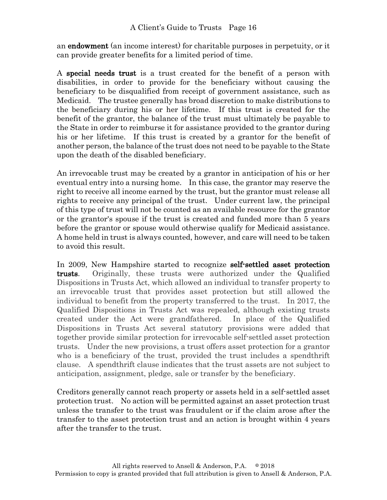an endowment (an income interest) for charitable purposes in perpetuity, or it can provide greater benefits for a limited period of time.

A special needs trust is a trust created for the benefit of a person with disabilities, in order to provide for the beneficiary without causing the beneficiary to be disqualified from receipt of government assistance, such as Medicaid. The trustee generally has broad discretion to make distributions to the beneficiary during his or her lifetime. If this trust is created for the benefit of the grantor, the balance of the trust must ultimately be payable to the State in order to reimburse it for assistance provided to the grantor during his or her lifetime. If this trust is created by a grantor for the benefit of another person, the balance of the trust does not need to be payable to the State upon the death of the disabled beneficiary.

An irrevocable trust may be created by a grantor in anticipation of his or her eventual entry into a nursing home. In this case, the grantor may reserve the right to receive all income earned by the trust, but the grantor must release all rights to receive any principal of the trust. Under current law, the principal of this type of trust will not be counted as an available resource for the grantor or the grantor's spouse if the trust is created and funded more than 5 years before the grantor or spouse would otherwise qualify for Medicaid assistance. A home held in trust is always counted, however, and care will need to be taken to avoid this result.

In 2009, New Hampshire started to recognize self-settled asset protection trusts. Originally, these trusts were authorized under the Qualified Dispositions in Trusts Act, which allowed an individual to transfer property to an irrevocable trust that provides asset protection but still allowed the individual to benefit from the property transferred to the trust. In 2017, the Qualified Dispositions in Trusts Act was repealed, although existing trusts created under the Act were grandfathered. In place of the Qualified Dispositions in Trusts Act several statutory provisions were added that together provide similar protection for irrevocable self-settled asset protection trusts. Under the new provisions, a trust offers asset protection for a grantor who is a beneficiary of the trust, provided the trust includes a spendthrift clause. A spendthrift clause indicates that the trust assets are not subject to anticipation, assignment, pledge, sale or transfer by the beneficiary.

Creditors generally cannot reach property or assets held in a self-settled asset protection trust. No action will be permitted against an asset protection trust unless the transfer to the trust was fraudulent or if the claim arose after the transfer to the asset protection trust and an action is brought within 4 years after the transfer to the trust.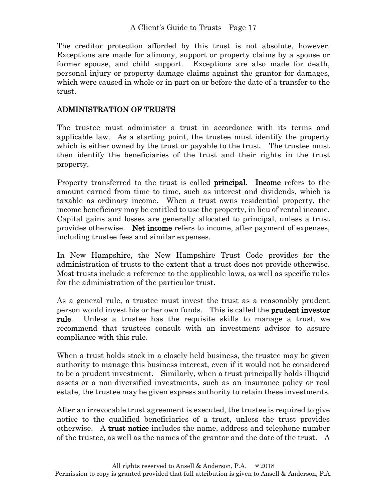The creditor protection afforded by this trust is not absolute, however. Exceptions are made for alimony, support or property claims by a spouse or former spouse, and child support. Exceptions are also made for death, personal injury or property damage claims against the grantor for damages, which were caused in whole or in part on or before the date of a transfer to the trust.

## ADMINISTRATION OF TRUSTS

The trustee must administer a trust in accordance with its terms and applicable law. As a starting point, the trustee must identify the property which is either owned by the trust or payable to the trust. The trustee must then identify the beneficiaries of the trust and their rights in the trust property.

Property transferred to the trust is called **principal.** Income refers to the amount earned from time to time, such as interest and dividends, which is taxable as ordinary income. When a trust owns residential property, the income beneficiary may be entitled to use the property, in lieu of rental income. Capital gains and losses are generally allocated to principal, unless a trust provides otherwise. Net income refers to income, after payment of expenses, including trustee fees and similar expenses.

In New Hampshire, the New Hampshire Trust Code provides for the administration of trusts to the extent that a trust does not provide otherwise. Most trusts include a reference to the applicable laws, as well as specific rules for the administration of the particular trust.

As a general rule, a trustee must invest the trust as a reasonably prudent person would invest his or her own funds. This is called the prudent investor rule. Unless a trustee has the requisite skills to manage a trust, we recommend that trustees consult with an investment advisor to assure compliance with this rule.

When a trust holds stock in a closely held business, the trustee may be given authority to manage this business interest, even if it would not be considered to be a prudent investment. Similarly, when a trust principally holds illiquid assets or a non-diversified investments, such as an insurance policy or real estate, the trustee may be given express authority to retain these investments.

After an irrevocable trust agreement is executed, the trustee is required to give notice to the qualified beneficiaries of a trust, unless the trust provides otherwise. A trust notice includes the name, address and telephone number of the trustee, as well as the names of the grantor and the date of the trust. A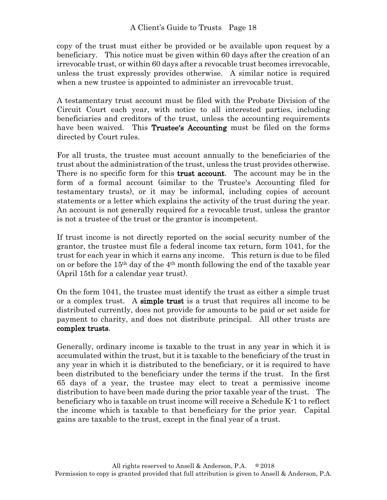copy of the trust must either be provided or be available upon request by a beneficiary. This notice must be given within 60 days after the creation of an irrevocable trust, or within 60 days after a revocable trust becomes irrevocable, unless the trust expressly provides otherwise. A similar notice is required when a new trustee is appointed to administer an irrevocable trust.

A testamentary trust account must be filed with the Probate Division of the Circuit Court each year, with notice to all interested parties, including beneficiaries and creditors of the trust, unless the accounting requirements have been waived. This Trustee's Accounting must be filed on the forms directed by Court rules.

For all trusts, the trustee must account annually to the beneficiaries of the trust about the administration of the trust, unless the trust provides otherwise. There is no specific form for this **trust account**. The account may be in the form of a formal account (similar to the Trustee's Accounting filed for testamentary trusts), or it may be informal, including copies of account statements or a letter which explains the activity of the trust during the year. An account is not generally required for a revocable trust, unless the grantor is not a trustee of the trust or the grantor is incompetent.

If trust income is not directly reported on the social security number of the grantor, the trustee must file a federal income tax return, form 1041, for the trust for each year in which it earns any income. This return is due to be filed on or before the 15th day of the 4th month following the end of the taxable year (April 15th for a calendar year trust).

On the form 1041, the trustee must identify the trust as either a simple trust or a complex trust. A simple trust is a trust that requires all income to be distributed currently, does not provide for amounts to be paid or set aside for payment to charity, and does not distribute principal. All other trusts are complex trusts.

Generally, ordinary income is taxable to the trust in any year in which it is accumulated within the trust, but it is taxable to the beneficiary of the trust in any year in which it is distributed to the beneficiary, or it is required to have been distributed to the beneficiary under the terms if the trust. In the first 65 days of a year, the trustee may elect to treat a permissive income distribution to have been made during the prior taxable year of the trust. The beneficiary who is taxable on trust income will receive a Schedule K-1 to reflect the income which is taxable to that beneficiary for the prior year. Capital gains are taxable to the trust, except in the final year of a trust.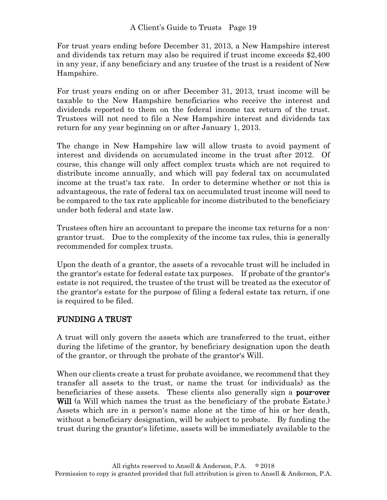For trust years ending before December 31, 2013, a New Hampshire interest and dividends tax return may also be required if trust income exceeds \$2,400 in any year, if any beneficiary and any trustee of the trust is a resident of New Hampshire.

For trust years ending on or after December 31, 2013, trust income will be taxable to the New Hampshire beneficiaries who receive the interest and dividends reported to them on the federal income tax return of the trust. Trustees will not need to file a New Hampshire interest and dividends tax return for any year beginning on or after January 1, 2013.

The change in New Hampshire law will allow trusts to avoid payment of interest and dividends on accumulated income in the trust after 2012. Of course, this change will only affect complex trusts which are not required to distribute income annually, and which will pay federal tax on accumulated income at the trust's tax rate. In order to determine whether or not this is advantageous, the rate of federal tax on accumulated trust income will need to be compared to the tax rate applicable for income distributed to the beneficiary under both federal and state law.

Trustees often hire an accountant to prepare the income tax returns for a nongrantor trust. Due to the complexity of the income tax rules, this is generally recommended for complex trusts.

Upon the death of a grantor, the assets of a revocable trust will be included in the grantor's estate for federal estate tax purposes. If probate of the grantor's estate is not required, the trustee of the trust will be treated as the executor of the grantor's estate for the purpose of filing a federal estate tax return, if one is required to be filed.

# FUNDING A TRUST

A trust will only govern the assets which are transferred to the trust, either during the lifetime of the grantor, by beneficiary designation upon the death of the grantor, or through the probate of the grantor's Will.

When our clients create a trust for probate avoidance, we recommend that they transfer all assets to the trust, or name the trust (or individuals) as the beneficiaries of these assets. These clients also generally sign a **pour-over** Will (a Will which names the trust as the beneficiary of the probate Estate.) Assets which are in a person's name alone at the time of his or her death, without a beneficiary designation, will be subject to probate. By funding the trust during the grantor's lifetime, assets will be immediately available to the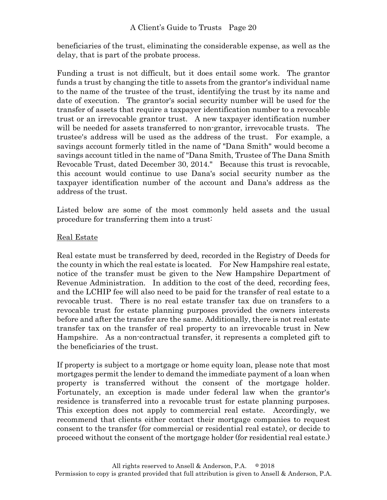beneficiaries of the trust, eliminating the considerable expense, as well as the delay, that is part of the probate process.

Funding a trust is not difficult, but it does entail some work. The grantor funds a trust by changing the title to assets from the grantor's individual name to the name of the trustee of the trust, identifying the trust by its name and date of execution. The grantor's social security number will be used for the transfer of assets that require a taxpayer identification number to a revocable trust or an irrevocable grantor trust. A new taxpayer identification number will be needed for assets transferred to non-grantor, irrevocable trusts. The trustee's address will be used as the address of the trust. For example, a savings account formerly titled in the name of "Dana Smith" would become a savings account titled in the name of "Dana Smith, Trustee of The Dana Smith Revocable Trust, dated December 30, 2014." Because this trust is revocable, this account would continue to use Dana's social security number as the taxpayer identification number of the account and Dana's address as the address of the trust.

Listed below are some of the most commonly held assets and the usual procedure for transferring them into a trust:

### Real Estate

Real estate must be transferred by deed, recorded in the Registry of Deeds for the county in which the real estate is located. For New Hampshire real estate, notice of the transfer must be given to the New Hampshire Department of Revenue Administration. In addition to the cost of the deed, recording fees, and the LCHIP fee will also need to be paid for the transfer of real estate to a revocable trust. There is no real estate transfer tax due on transfers to a revocable trust for estate planning purposes provided the owners interests before and after the transfer are the same. Additionally, there is not real estate transfer tax on the transfer of real property to an irrevocable trust in New Hampshire. As a non-contractual transfer, it represents a completed gift to the beneficiaries of the trust.

If property is subject to a mortgage or home equity loan, please note that most mortgages permit the lender to demand the immediate payment of a loan when property is transferred without the consent of the mortgage holder. Fortunately, an exception is made under federal law when the grantor's residence is transferred into a revocable trust for estate planning purposes. This exception does not apply to commercial real estate. Accordingly, we recommend that clients either contact their mortgage companies to request consent to the transfer (for commercial or residential real estate), or decide to proceed without the consent of the mortgage holder (for residential real estate.)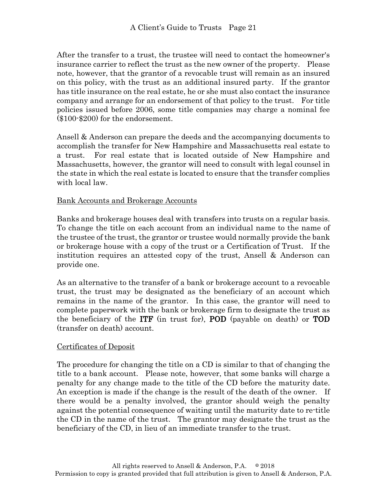After the transfer to a trust, the trustee will need to contact the homeowner's insurance carrier to reflect the trust as the new owner of the property. Please note, however, that the grantor of a revocable trust will remain as an insured on this policy, with the trust as an additional insured party. If the grantor has title insurance on the real estate, he or she must also contact the insurance company and arrange for an endorsement of that policy to the trust. For title policies issued before 2006, some title companies may charge a nominal fee (\$100-\$200) for the endorsement.

Ansell & Anderson can prepare the deeds and the accompanying documents to accomplish the transfer for New Hampshire and Massachusetts real estate to a trust. For real estate that is located outside of New Hampshire and Massachusetts, however, the grantor will need to consult with legal counsel in the state in which the real estate is located to ensure that the transfer complies with local law.

### Bank Accounts and Brokerage Accounts

Banks and brokerage houses deal with transfers into trusts on a regular basis. To change the title on each account from an individual name to the name of the trustee of the trust, the grantor or trustee would normally provide the bank or brokerage house with a copy of the trust or a Certification of Trust. If the institution requires an attested copy of the trust, Ansell & Anderson can provide one.

As an alternative to the transfer of a bank or brokerage account to a revocable trust, the trust may be designated as the beneficiary of an account which remains in the name of the grantor. In this case, the grantor will need to complete paperwork with the bank or brokerage firm to designate the trust as the beneficiary of the ITF (in trust for), POD (payable on death) or TOD (transfer on death) account.

#### Certificates of Deposit

The procedure for changing the title on a CD is similar to that of changing the title to a bank account. Please note, however, that some banks will charge a penalty for any change made to the title of the CD before the maturity date. An exception is made if the change is the result of the death of the owner. If there would be a penalty involved, the grantor should weigh the penalty against the potential consequence of waiting until the maturity date to re-title the CD in the name of the trust. The grantor may designate the trust as the beneficiary of the CD, in lieu of an immediate transfer to the trust.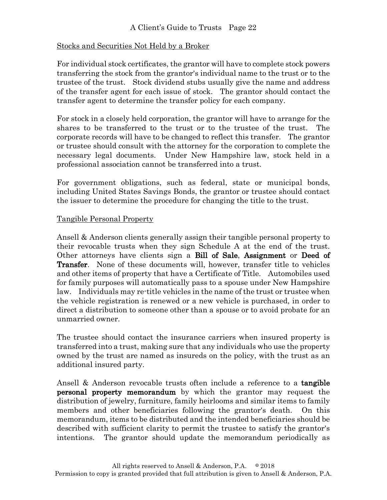## Stocks and Securities Not Held by a Broker

For individual stock certificates, the grantor will have to complete stock powers transferring the stock from the grantor's individual name to the trust or to the trustee of the trust. Stock dividend stubs usually give the name and address of the transfer agent for each issue of stock. The grantor should contact the transfer agent to determine the transfer policy for each company.

For stock in a closely held corporation, the grantor will have to arrange for the shares to be transferred to the trust or to the trustee of the trust. The corporate records will have to be changed to reflect this transfer. The grantor or trustee should consult with the attorney for the corporation to complete the necessary legal documents. Under New Hampshire law, stock held in a professional association cannot be transferred into a trust.

For government obligations, such as federal, state or municipal bonds, including United States Savings Bonds, the grantor or trustee should contact the issuer to determine the procedure for changing the title to the trust.

### Tangible Personal Property

Ansell & Anderson clients generally assign their tangible personal property to their revocable trusts when they sign Schedule A at the end of the trust. Other attorneys have clients sign a Bill of Sale, Assignment or Deed of Transfer. None of these documents will, however, transfer title to vehicles and other items of property that have a Certificate of Title. Automobiles used for family purposes will automatically pass to a spouse under New Hampshire law. Individuals may re-title vehicles in the name of the trust or trustee when the vehicle registration is renewed or a new vehicle is purchased, in order to direct a distribution to someone other than a spouse or to avoid probate for an unmarried owner.

The trustee should contact the insurance carriers when insured property is transferred into a trust, making sure that any individuals who use the property owned by the trust are named as insureds on the policy, with the trust as an additional insured party.

Ansell & Anderson revocable trusts often include a reference to a **tangible** personal property memorandum by which the grantor may request the distribution of jewelry, furniture, family heirlooms and similar items to family members and other beneficiaries following the grantor's death. On this memorandum, items to be distributed and the intended beneficiaries should be described with sufficient clarity to permit the trustee to satisfy the grantor's intentions. The grantor should update the memorandum periodically as